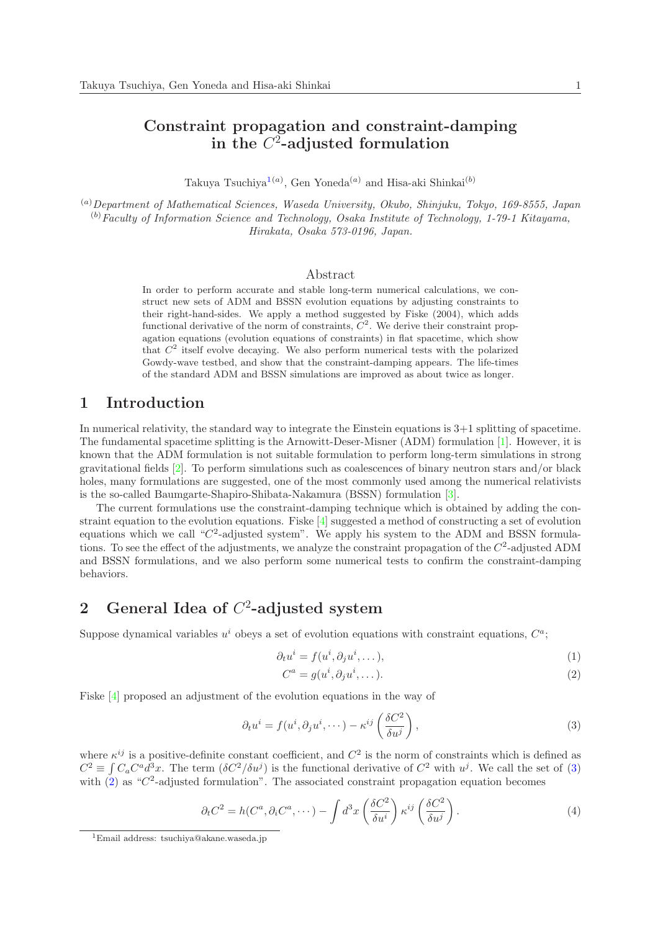## Constraint propagation and constraint-damping in the  $C^2$ -adjusted formulation

Takuya Tsuchiya<sup>1(a)</sup>, Gen Yoneda<sup>(a)</sup> and Hisa-aki Shinkai<sup>(b)</sup>

(a)*Department of Mathematical Sciences, Waseda University, Okubo, Shinjuku, Tokyo, 169-8555, Japan* (b)*Faculty of Information Science and Technology, Osaka Institute of Technology, 1-79-1 Kitayama, Hirakata, Osaka 573-0196, Japan.*

### Abstract

In order to perform accurate and stable long-term numerical calculations, we construct new sets of ADM and BSSN evolution equations by adjusting constraints to their right-hand-sides. We apply a method suggested by Fiske (2004), which adds functional derivative of the norm of constraints,  $C^2$ . We derive their constraint propagation equations (evolution equations of constraints) in flat spacetime, which show that  $C^2$  itself evolve decaying. We also perform numerical tests with the polarized Gowdy-wave testbed, and show that the constraint-damping appears. The life-times of the standard ADM and BSSN simulations are improved as about twice as longer.

### 1 Introduction

In numerical relativity, the standard way to integrate the Einstein equations is 3+1 splitting of spacetime. The fundamental spacetime splitting is the Arnowitt-Deser-Misner (ADM) formulation [1]. However, it is known that the ADM formulation is not suitable formulation to perform long-term simulations in strong gravitational fields [2]. To perform simulations such as coalescences of binary neutron stars and/or black holes, many formulations are suggested, one of the most commonly used among the numerical relativists is the so-called Baumgarte-Shapiro-Shibata-Nakamura (BSSN) formulation [3].

The current formulations use the constraint-damping technique which is obtained by adding the constraint equation to the evolution equations. Fiske [4] suggested a method of constructing a set of evolution equations which we call " $C^2$ -adjusted system". We apply his system to the ADM and BSSN formulations. To see the effect of the adjustments, we analyze the constraint propagation of the  $C^2$ -adjusted ADM and BSSN formulations, and we also perform some numerical tests to confirm the constraint-damping behaviors.

# 2 General Idea of  $C^2$ -adjusted system

Suppose dynamical variables  $u^i$  obeys a set of evolution equations with constraint equations,  $C^a$ ;

$$
\partial_t u^i = f(u^i, \partial_j u^i, \dots),\tag{1}
$$

$$
C^a = g(u^i, \partial_j u^i, \dots). \tag{2}
$$

Fiske [4] proposed an adjustment of the evolution equations in the way of

$$
\partial_t u^i = f(u^i, \partial_j u^i, \cdots) - \kappa^{ij} \left( \frac{\delta C^2}{\delta u^j} \right),\tag{3}
$$

where  $\kappa^{ij}$  is a positive-definite constant coefficient, and  $C^2$  is the norm of constraints which is defined as  $C^2 \equiv \int C_a C^a \hat{d}^3 x$ . The term  $(\delta C^2 / \delta u^j)$  is the functional derivative of  $C^2$  with  $u^j$ . We call the set of (3) with  $(2)$  as "C<sup>2</sup>-adjusted formulation". The associated constraint propagation equation becomes

$$
\partial_t C^2 = h(C^a, \partial_i C^a, \cdots) - \int d^3x \left(\frac{\delta C^2}{\delta u^i}\right) \kappa^{ij} \left(\frac{\delta C^2}{\delta u^j}\right). \tag{4}
$$

<sup>1</sup>Email address: tsuchiya@akane.waseda.jp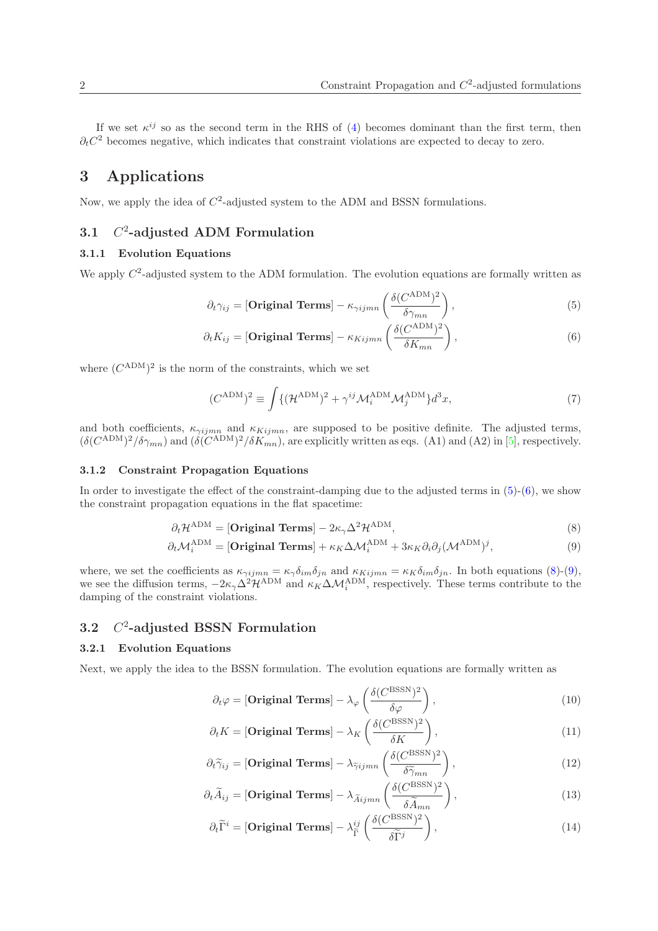If we set  $\kappa^{ij}$  so as the second term in the RHS of (4) becomes dominant than the first term, then  $\partial_t C^2$  becomes negative, which indicates that constraint violations are expected to decay to zero.

## 3 Applications

Now, we apply the idea of  $C<sup>2</sup>$ -adjusted system to the ADM and BSSN formulations.

#### 3.1 C 2 -adjusted ADM Formulation

### 3.1.1 Evolution Equations

We apply  $C^2$ -adjusted system to the ADM formulation. The evolution equations are formally written as

$$
\partial_t \gamma_{ij} = \left[ \textbf{Original Terms} \right] - \kappa_{\gamma ijmn} \left( \frac{\delta (C^{\text{ADM}})^2}{\delta \gamma_{mn}} \right), \tag{5}
$$

$$
\partial_t K_{ij} = \left[ \textbf{Original Terms} \right] - \kappa_{Kijmn} \left( \frac{\delta (C^{\text{ADM}})^2}{\delta K_{mn}} \right), \tag{6}
$$

where  $(C^{ADM})^2$  is the norm of the constraints, which we set

$$
(C^{ADM})^2 \equiv \int \{ (\mathcal{H}^{ADM})^2 + \gamma^{ij} \mathcal{M}_i^{ADM} \mathcal{M}_j^{ADM} \} d^3x,\tag{7}
$$

and both coefficients,  $\kappa_{\gamma ijmn}$  and  $\kappa_{Kijmn}$ , are supposed to be positive definite. The adjusted terms,  $(\delta(C^{\text{ADM}})^2/\delta\gamma_{mn})$  and  $(\delta(C^{\text{ADM}})^2/\delta K_{mn})$ , are explicitly written as eqs. (A1) and (A2) in [5], respectively.

#### 3.1.2 Constraint Propagation Equations

In order to investigate the effect of the constraint-damping due to the adjusted terms in  $(5)-(6)$ , we show the constraint propagation equations in the flat spacetime:

$$
\partial_t \mathcal{H}^{\text{ADM}} = [\text{Original Terms}] - 2\kappa_\gamma \Delta^2 \mathcal{H}^{\text{ADM}},\tag{8}
$$

$$
\partial_t \mathcal{M}_i^{\text{ADM}} = [\text{Original Terms}] + \kappa_K \Delta \mathcal{M}_i^{\text{ADM}} + 3\kappa_K \partial_i \partial_j (\mathcal{M}^{\text{ADM}})^j, \tag{9}
$$

where, we set the coefficients as  $\kappa_{\gamma ijmn} = \kappa_{\gamma} \delta_{im} \delta_{jn}$  and  $\kappa_{Kijmn} = \kappa_{K} \delta_{im} \delta_{jn}$ . In both equations (8)-(9), we see the diffusion terms,  $-2\kappa_{\gamma}\Delta^2\mathcal{H}^{\text{ADM}}$  and  $\kappa_K\Delta\mathcal{M}_i^{\text{ADM}}$ , respectively. These terms contribute to the damping of the constraint violations.

#### 3.2 C 2 -adjusted BSSN Formulation

#### 3.2.1 Evolution Equations

Next, we apply the idea to the BSSN formulation. The evolution equations are formally written as

$$
\partial_t \varphi = \left[ \textbf{Original Terms} \right] - \lambda_{\varphi} \left( \frac{\delta (C^{\text{BSSN}})^2}{\delta \varphi} \right),\tag{10}
$$

$$
\partial_t K = \left[ \textbf{Original Terms} \right] - \lambda_K \left( \frac{\delta (C^{\text{BSSN}})^2}{\delta K} \right),\tag{11}
$$

$$
\partial_t \widetilde{\gamma}_{ij} = \left[ \textbf{Original Terms} \right] - \lambda_{\widetilde{\gamma}ijmn} \left( \frac{\delta (C^{\text{BSSN}})^2}{\delta \widetilde{\gamma}_{mn}} \right),\tag{12}
$$

$$
\partial_t \widetilde{A}_{ij} = \left[ \textbf{Original Terms} \right] - \lambda_{\widetilde{A}ijmn} \left( \frac{\delta (C^{\text{BSSN}})^2}{\delta \widetilde{A}_{mn}} \right),\tag{13}
$$

$$
\partial_t \widetilde{\Gamma}^i = \left[ \textbf{Original Terms} \right] - \lambda_{\widetilde{\Gamma}}^{ij} \left( \frac{\delta (C^{\text{BSSN}})^2}{\delta \widetilde{\Gamma}^j} \right),\tag{14}
$$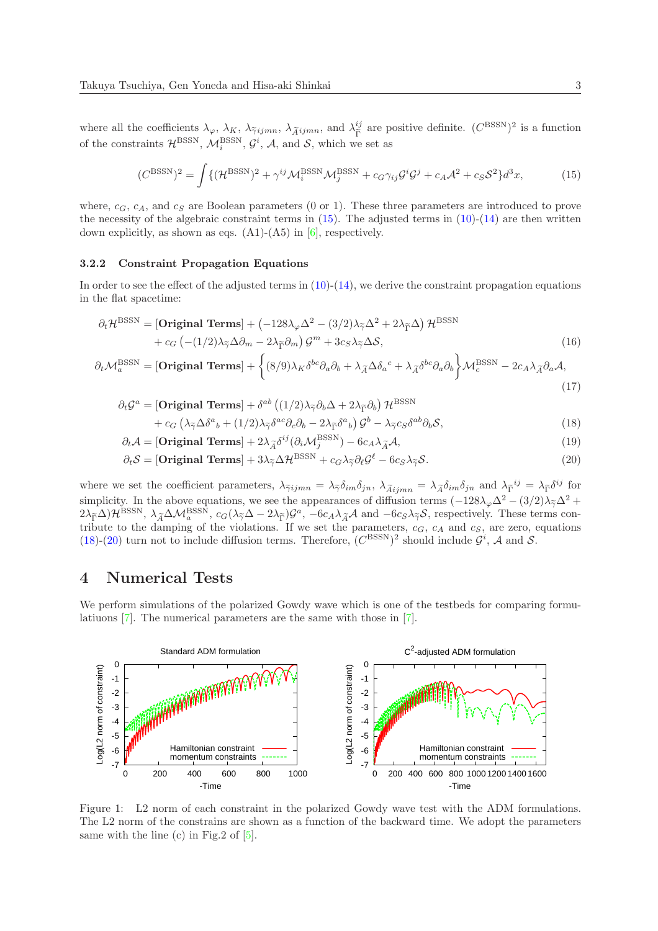where all the coefficients  $\lambda_{\varphi}, \lambda_{K}$ ,  $\lambda_{\tilde{\gamma}ijmn}$ ,  $\lambda_{\tilde{A}ijmn}$ , and  $\lambda_{\tilde{\Gamma}}^{ij}$  are positive definite.  $(C^{BSSN})^2$  is a function of the constraints  $\mathcal{H}^{\text{BSSN}}$ ,  $\mathcal{M}_i^{\text{BSSN}}$ ,  $\mathcal{G}^i$ ,  $\mathcal{A}$ , and  $\mathcal{S}$ , which we set as

$$
(C^{\text{BSSN}})^2 = \int \{ (\mathcal{H}^{\text{BSSN}})^2 + \gamma^{ij} \mathcal{M}_i^{\text{BSSN}} \mathcal{M}_j^{\text{BSSN}} + c_G \gamma_{ij} \mathcal{G}^i \mathcal{G}^j + c_A \mathcal{A}^2 + c_S \mathcal{S}^2 \} d^3 x,\tag{15}
$$

where,  $c_G$ ,  $c_A$ , and  $c_S$  are Boolean parameters (0 or 1). These three parameters are introduced to prove the necessity of the algebraic constraint terms in  $(15)$ . The adjusted terms in  $(10)-(14)$  are then written down explicitly, as shown as eqs.  $(A1)-(A5)$  in  $[6]$ , respectively.

#### 3.2.2 Constraint Propagation Equations

In order to see the effect of the adjusted terms in  $(10)-(14)$ , we derive the constraint propagation equations in the flat spacetime:

$$
\partial_t \mathcal{H}^{\text{BSSN}} = \left[ \text{Original Terms} \right] + \left( -128\lambda_{\varphi} \Delta^2 - (3/2)\lambda_{\widetilde{\gamma}} \Delta^2 + 2\lambda_{\widetilde{\Gamma}} \Delta \right) \mathcal{H}^{\text{BSSN}} + c_G \left( -(1/2)\lambda_{\widetilde{\gamma}} \Delta \partial_m - 2\lambda_{\widetilde{\Gamma}} \partial_m \right) \mathcal{G}^m + 3c_S \lambda_{\widetilde{\gamma}} \Delta \mathcal{S},
$$
\n(16)

$$
\partial_t \mathcal{M}_a^{\text{BSSN}} = [\text{Original Terms}] + \left\{ (8/9) \lambda_K \delta^{bc} \partial_a \partial_b + \lambda_{\widetilde{A}} \Delta \delta_a{}^c + \lambda_{\widetilde{A}} \delta^{bc} \partial_a \partial_b \right\} \mathcal{M}_c^{\text{BSSN}} - 2c_A \lambda_{\widetilde{A}} \partial_a \mathcal{A},\tag{17}
$$

$$
\partial_t \mathcal{G}^a = \left[ \text{Original Terms} \right] + \delta^{ab} \left( (1/2) \lambda_{\widetilde{\gamma}} \partial_b \Delta + 2 \lambda_{\widetilde{\Gamma}} \partial_b \right) \mathcal{H}^{\text{BSSN}} + c_G \left( \lambda_{\widetilde{\gamma}} \Delta \delta^a{}_b + (1/2) \lambda_{\widetilde{\gamma}} \delta^{ac} \partial_c \partial_b - 2 \lambda_{\widetilde{\Gamma}} \delta^a{}_b \right) \mathcal{G}^b - \lambda_{\widetilde{\gamma}} c_S \delta^{ab} \partial_b \mathcal{S},
$$
\n(18)

$$
\partial_t \mathcal{A} = \left[ \textbf{Original Terms} \right] + 2\lambda_{\widetilde{A}} \delta^{ij} (\partial_i \mathcal{M}_j^{\text{BSSN}}) - 6c_A \lambda_{\widetilde{A}} \mathcal{A},\tag{19}
$$

$$
\partial_t \mathcal{A} = [\text{Original Terms}] + 2\lambda_{\widetilde{A}} \delta^{ij} (\partial_i \mathcal{M}_j^{\text{BSSN}}) - 6c_A \lambda_{\widetilde{A}} \mathcal{A},
$$
\n
$$
\partial_t \mathcal{S} = [\text{Original Terms}] + 3\lambda_{\widetilde{\gamma}} \Delta \mathcal{H}^{\text{BSSN}} + c_G \lambda_{\widetilde{\gamma}} \partial_\ell \mathcal{G}^\ell - 6c_S \lambda_{\widetilde{\gamma}} \mathcal{S}. \tag{20}
$$

where we set the coefficient parameters,  $\lambda_{\tilde{\gamma}ijmn} = \lambda_{\tilde{\gamma}} \delta_{im} \delta_{jn}$ ,  $\lambda_{\tilde{A}ijmn} = \lambda_{\tilde{A}} \delta_{im} \delta_{jn}$  and  $\lambda_{\tilde{\Gamma}}^{ij} = \lambda_{\tilde{\Gamma}} \delta^{ij}$  for simplicity. In the above equations, we see the appearances of diffusion terms  $(-128\lambda_{\varphi}\Delta^2 - (3/2)\lambda_{\widetilde{\gamma}}\Delta^2 +$  $2\lambda_{\tilde{\Gamma}}\Delta\mathcal{H}^{\text{BSSN}}, \lambda_{\tilde{A}}\Delta\mathcal{M}^{\text{BSSN}}_a, c_G(\lambda_{\tilde{\gamma}}\Delta - 2\lambda_{\tilde{\Gamma}})\mathcal{G}^a, -6c_A\lambda_{\tilde{A}}\mathcal{A}$  and  $-6c_S\lambda_{\tilde{\gamma}}\mathcal{S}$ , respectively. These terms contribute to the damping of the violations. If we set the parameters,  $c_G$ ,  $c_A$  and  $c_S$ , are zero, equations (18)-(20) turn not to include diffusion terms. Therefore,  $(C^{BSSN})^2$  should include  $\mathcal{G}^i$ , A and S.

### 4 Numerical Tests

We perform simulations of the polarized Gowdy wave which is one of the testbeds for comparing formulatiuons [7]. The numerical parameters are the same with those in [7].



Figure 1: L2 norm of each constraint in the polarized Gowdy wave test with the ADM formulations. The L2 norm of the constrains are shown as a function of the backward time. We adopt the parameters same with the line (c) in Fig.2 of  $[5]$ .